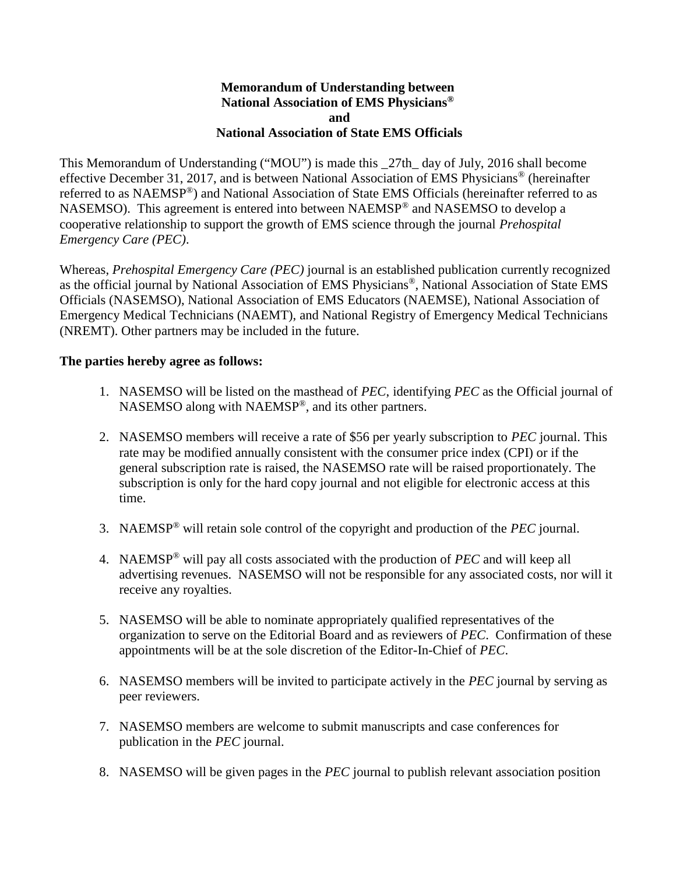## **Memorandum of Understanding between National Association of EMS Physicians® and National Association of State EMS Officials**

This Memorandum of Understanding ("MOU") is made this \_27th\_ day of July, 2016 shall become effective December 31, 2017, and is between National Association of EMS Physicians® (hereinafter referred to as NAEMSP®) and National Association of State EMS Officials (hereinafter referred to as NASEMSO). This agreement is entered into between NAEMSP® and NASEMSO to develop a cooperative relationship to support the growth of EMS science through the journal *Prehospital Emergency Care (PEC)*.

Whereas, *Prehospital Emergency Care (PEC)* journal is an established publication currently recognized as the official journal by National Association of EMS Physicians®, National Association of State EMS Officials (NASEMSO), National Association of EMS Educators (NAEMSE), National Association of Emergency Medical Technicians (NAEMT), and National Registry of Emergency Medical Technicians (NREMT). Other partners may be included in the future.

## **The parties hereby agree as follows:**

- 1. NASEMSO will be listed on the masthead of *PEC*, identifying *PEC* as the Official journal of NASEMSO along with NAEMSP®, and its other partners.
- 2. NASEMSO members will receive a rate of \$56 per yearly subscription to *PEC* journal. This rate may be modified annually consistent with the consumer price index (CPI) or if the general subscription rate is raised, the NASEMSO rate will be raised proportionately. The subscription is only for the hard copy journal and not eligible for electronic access at this time.
- 3. NAEMSP® will retain sole control of the copyright and production of the *PEC* journal.
- 4. NAEMSP® will pay all costs associated with the production of *PEC* and will keep all advertising revenues. NASEMSO will not be responsible for any associated costs, nor will it receive any royalties.
- 5. NASEMSO will be able to nominate appropriately qualified representatives of the organization to serve on the Editorial Board and as reviewers of *PEC*. Confirmation of these appointments will be at the sole discretion of the Editor-In-Chief of *PEC*.
- 6. NASEMSO members will be invited to participate actively in the *PEC* journal by serving as peer reviewers.
- 7. NASEMSO members are welcome to submit manuscripts and case conferences for publication in the *PEC* journal.
- 8. NASEMSO will be given pages in the *PEC* journal to publish relevant association position